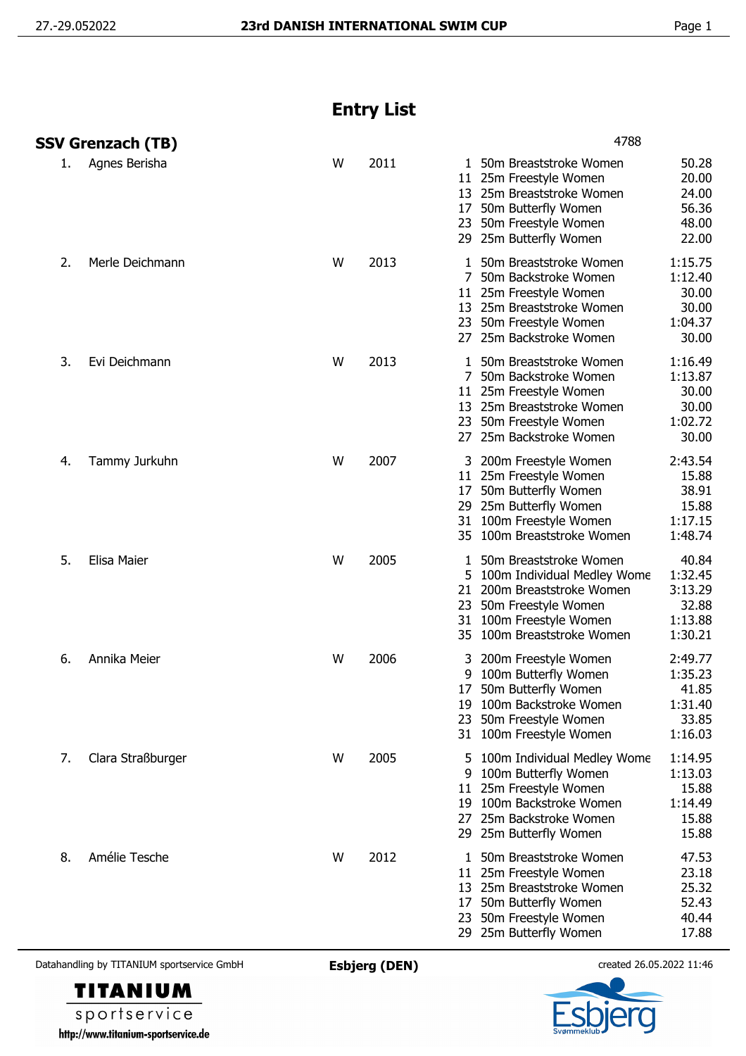## **Entry List**

|    | SSV Grenzach (TB) |   |      | 4788                                                                                                                                                                                                                                           |
|----|-------------------|---|------|------------------------------------------------------------------------------------------------------------------------------------------------------------------------------------------------------------------------------------------------|
| 1. | Agnes Berisha     | W | 2011 | 50.28<br>1 50m Breaststroke Women<br>20.00<br>11 25m Freestyle Women<br>13 25m Breaststroke Women<br>24.00<br>50m Butterfly Women<br>56.36<br>17<br>23 50m Freestyle Women<br>48.00<br>22.00<br>29 25m Butterfly Women                         |
| 2. | Merle Deichmann   | W | 2013 | 1:15.75<br>50m Breaststroke Women<br>1.<br>1:12.40<br>7 50m Backstroke Women<br>30.00<br>11 25m Freestyle Women<br>13 25m Breaststroke Women<br>30.00<br>23 50m Freestyle Women<br>1:04.37<br>30.00<br>27 25m Backstroke Women                 |
| 3. | Evi Deichmann     | W | 2013 | 1 50m Breaststroke Women<br>1:16.49<br>1:13.87<br>7 50m Backstroke Women<br>30.00<br>11 25m Freestyle Women<br>13 25m Breaststroke Women<br>30.00<br>1:02.72<br>23 50m Freestyle Women<br>30.00<br>27 25m Backstroke Women                     |
| 4. | Tammy Jurkuhn     | W | 2007 | 2:43.54<br>3 200m Freestyle Women<br>15.88<br>11 25m Freestyle Women<br>38.91<br>50m Butterfly Women<br>17<br>25m Butterfly Women<br>15.88<br>29<br>1:17.15<br>100m Freestyle Women<br>31<br>1:48.74<br>35 100m Breaststroke Women             |
| 5. | Elisa Maier       | W | 2005 | 40.84<br>50m Breaststroke Women<br>1<br>5 100m Individual Medley Wome<br>1:32.45<br>3:13.29<br>21 200m Breaststroke Women<br>32.88<br>50m Freestyle Women<br>23<br>31 100m Freestyle Women<br>1:13.88<br>1:30.21<br>35 100m Breaststroke Women |
| 6. | Annika Meier      | W | 2006 | 2:49.77<br>200m Freestyle Women<br>3<br>1:35.23<br>100m Butterfly Women<br>9<br>50m Butterfly Women<br>41.85<br>17<br>100m Backstroke Women<br>1:31.40<br>19<br>33.85<br>50m Freestyle Women<br>23<br>1:16.03<br>31 100m Freestyle Women       |
| 7. | Clara Straßburger | W | 2005 | 1:14.95<br>100m Individual Medley Wome<br>5.<br>100m Butterfly Women<br>1:13.03<br>9<br>11 25m Freestyle Women<br>15.88<br>19 100m Backstroke Women<br>1:14.49<br>25m Backstroke Women<br>15.88<br>27<br>15.88<br>29 25m Butterfly Women       |
| 8. | Amélie Tesche     | W | 2012 | 50m Breaststroke Women<br>47.53<br>1<br>23.18<br>11 25m Freestyle Women<br>25m Breaststroke Women<br>25.32<br>13<br>52.43<br>50m Butterfly Women<br>17<br>40.44<br>50m Freestyle Women<br>23<br>17.88<br>29 25m Butterfly Women                |

Datahandling by TITANIUM sportservice GmbH **Esbjerg (DEN)** created 26.05.2022 11:46

**TITANIUM** sportservice http://www.titanium-sportservice.de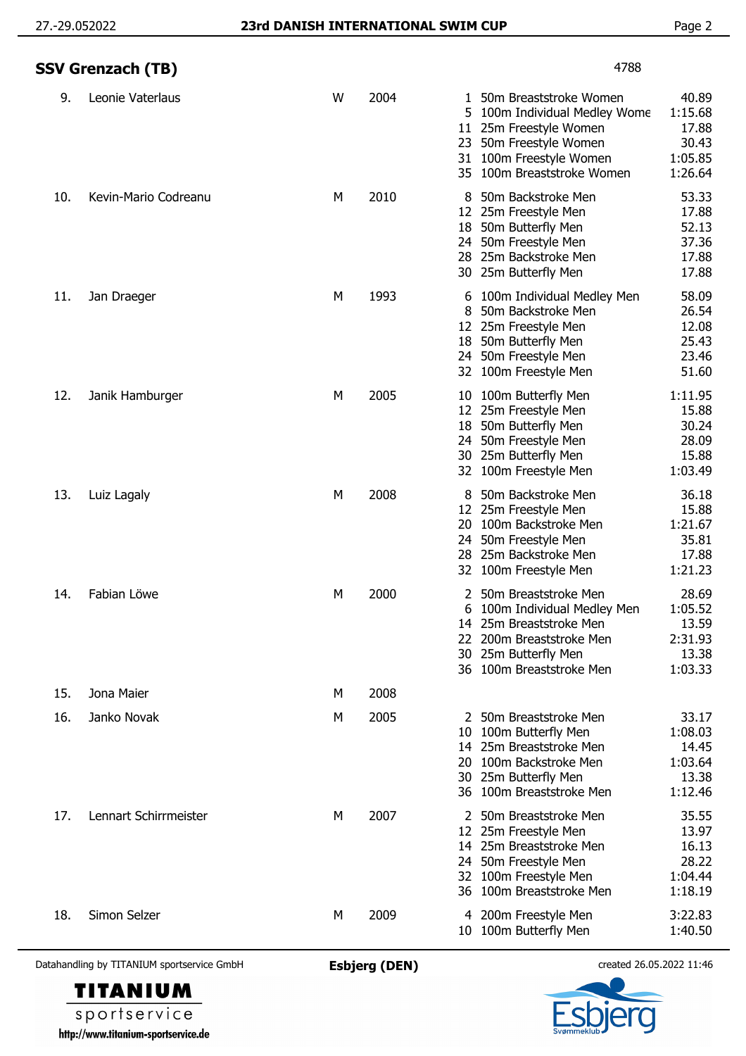|     | SSV Grenzach (TB)     |   |      | 4788                                                                                                                                                                                               |                                                          |
|-----|-----------------------|---|------|----------------------------------------------------------------------------------------------------------------------------------------------------------------------------------------------------|----------------------------------------------------------|
| 9.  | Leonie Vaterlaus      | W | 2004 | 1 50m Breaststroke Women<br>100m Individual Medley Wome<br>5<br>25m Freestyle Women<br>11 <sup>1</sup><br>50m Freestyle Women<br>23<br>100m Freestyle Women<br>31<br>100m Breaststroke Women<br>35 | 40.89<br>1:15.68<br>17.88<br>30.43<br>1:05.85<br>1:26.64 |
| 10. | Kevin-Mario Codreanu  | M | 2010 | 50m Backstroke Men<br>25m Freestyle Men<br>12<br>50m Butterfly Men<br>18.<br>50m Freestyle Men<br>24.<br>25m Backstroke Men<br>28.<br>30 25m Butterfly Men                                         | 53.33<br>17.88<br>52.13<br>37.36<br>17.88<br>17.88       |
| 11. | Jan Draeger           | M | 1993 | 100m Individual Medley Men<br>6<br>50m Backstroke Men<br>8<br>12 25m Freestyle Men<br>50m Butterfly Men<br>18<br>50m Freestyle Men<br>24<br>32 100m Freestyle Men                                  | 58.09<br>26.54<br>12.08<br>25.43<br>23.46<br>51.60       |
| 12. | Janik Hamburger       | М | 2005 | 10 100m Butterfly Men<br>12 25m Freestyle Men<br>18 50m Butterfly Men<br>24 50m Freestyle Men<br>30 25m Butterfly Men<br>32 100m Freestyle Men                                                     | 1:11.95<br>15.88<br>30.24<br>28.09<br>15.88<br>1:03.49   |
| 13. | Luiz Lagaly           | М | 2008 | 50m Backstroke Men<br>25m Freestyle Men<br>12<br>100m Backstroke Men<br>20<br>24 50m Freestyle Men<br>25m Backstroke Men<br>28<br>100m Freestyle Men<br>32                                         | 36.18<br>15.88<br>1:21.67<br>35.81<br>17.88<br>1:21.23   |
| 14. | Fabian Löwe           | М | 2000 | 50m Breaststroke Men<br>2<br>6<br>100m Individual Medley Men<br>14 25m Breaststroke Men<br>200m Breaststroke Men<br>22<br>25m Butterfly Men<br>30<br>36 100m Breaststroke Men                      | 28.69<br>1:05.52<br>13.59<br>2:31.93<br>13.38<br>1:03.33 |
| 15. | Jona Maier            | M | 2008 |                                                                                                                                                                                                    |                                                          |
| 16. | Janko Novak           | М | 2005 | 2 50m Breaststroke Men<br>100m Butterfly Men<br>10<br>14 25m Breaststroke Men<br>100m Backstroke Men<br>20<br>30 25m Butterfly Men<br>36 100m Breaststroke Men                                     | 33.17<br>1:08.03<br>14.45<br>1:03.64<br>13.38<br>1:12.46 |
| 17. | Lennart Schirrmeister | M | 2007 | 50m Breaststroke Men<br>2<br>25m Freestyle Men<br>12<br>14 25m Breaststroke Men<br>50m Freestyle Men<br>24<br>100m Freestyle Men<br>32<br>36 100m Breaststroke Men                                 | 35.55<br>13.97<br>16.13<br>28.22<br>1:04.44<br>1:18.19   |
| 18. | Simon Selzer          | М | 2009 | 4 200m Freestyle Men<br>10 100m Butterfly Men                                                                                                                                                      | 3:22.83<br>1:40.50                                       |

Datahandling by TITANIUM sportservice GmbH **Esbjerg (DEN)** created 26.05.2022 11:46

**TITANIUM** sportservice

http://www.titanium-sportservice.de